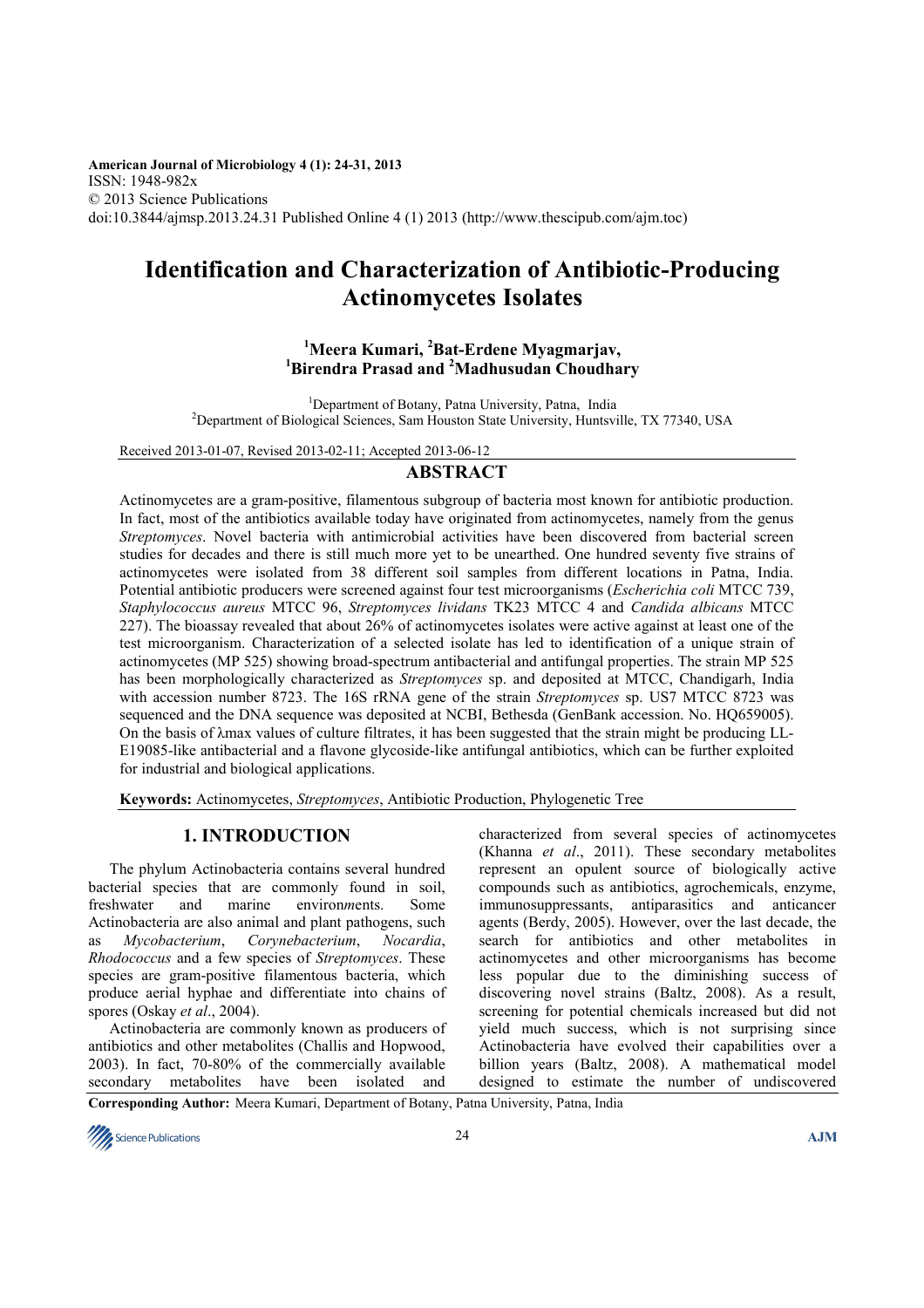**American Journal of Microbiology 4 (1): 24-31, 2013** ISSN: 1948-982x © 2013 Science Publications doi:10.3844/ajmsp.2013.24.31 Published Online 4 (1) 2013 (http://www.thescipub.com/ajm.toc)

# **Identification and Characterization of Antibiotic-Producing Actinomycetes Isolates**

# **<sup>1</sup>Meera Kumari, <sup>2</sup>Bat-Erdene Myagmarjav, <sup>1</sup>Birendra Prasad and <sup>2</sup>Madhusudan Choudhary**

<sup>1</sup>Department of Botany, Patna University, Patna, India <sup>2</sup>Department of Biological Sciences, Sam Houston State University, Huntsville, TX 77340, USA

Received 2013-01-07, Revised 2013-02-11; Accepted 2013-06-12

# **ABSTRACT**

Actinomycetes are a gram-positive, filamentous subgroup of bacteria most known for antibiotic production. In fact, most of the antibiotics available today have originated from actinomycetes, namely from the genus *Streptomyces*. Novel bacteria with antimicrobial activities have been discovered from bacterial screen studies for decades and there is still much more yet to be unearthed. One hundred seventy five strains of actinomycetes were isolated from 38 different soil samples from different locations in Patna, India. Potential antibiotic producers were screened against four test microorganisms (*Escherichia coli* MTCC 739, *Staphylococcus aureus* MTCC 96, *Streptomyces lividans* TK23 MTCC 4 and *Candida albicans* MTCC 227). The bioassay revealed that about 26% of actinomycetes isolates were active against at least one of the test microorganism. Characterization of a selected isolate has led to identification of a unique strain of actinomycetes (MP 525) showing broad-spectrum antibacterial and antifungal properties. The strain MP 525 has been morphologically characterized as *Streptomyces* sp. and deposited at MTCC, Chandigarh, India with accession number 8723. The 16S rRNA gene of the strain *Streptomyces* sp. US7 MTCC 8723 was sequenced and the DNA sequence was deposited at NCBI, Bethesda (GenBank accession. No. HQ659005). On the basis of λmax values of culture filtrates, it has been suggested that the strain might be producing LL-E19085-like antibacterial and a flavone glycoside-like antifungal antibiotics, which can be further exploited for industrial and biological applications.

**Keywords:** Actinomycetes, *Streptomyces*, Antibiotic Production, Phylogenetic Tree

# **1. INTRODUCTION**

The phylum Actinobacteria contains several hundred bacterial species that are commonly found in soil, freshwater and marine environments. Some freshwater and marine environ*m*ents. Some Actinobacteria are also animal and plant pathogens, such as *Mycobacterium*, *Corynebacterium*, *Nocardia*, *Rhodococcus* and a few species of *Streptomyces*. These species are gram-positive filamentous bacteria, which produce aerial hyphae and differentiate into chains of spores (Oskay *et al*., 2004).

Actinobacteria are commonly known as producers of antibiotics and other metabolites (Challis and Hopwood, 2003). In fact, 70-80% of the commercially available secondary metabolites have been isolated and

characterized from several species of actinomycetes (Khanna *et al*., 2011). These secondary metabolites represent an opulent source of biologically active compounds such as antibiotics, agrochemicals, enzyme, immunosuppressants, antiparasitics and anticancer agents (Berdy, 2005). However, over the last decade, the search for antibiotics and other metabolites in actinomycetes and other microorganisms has become less popular due to the diminishing success of discovering novel strains (Baltz, 2008). As a result, screening for potential chemicals increased but did not yield much success, which is not surprising since Actinobacteria have evolved their capabilities over a billion years (Baltz, 2008). A mathematical model designed to estimate the number of undiscovered

**Corresponding Author:** Meera Kumari, Department of Botany, Patna University, Patna, India

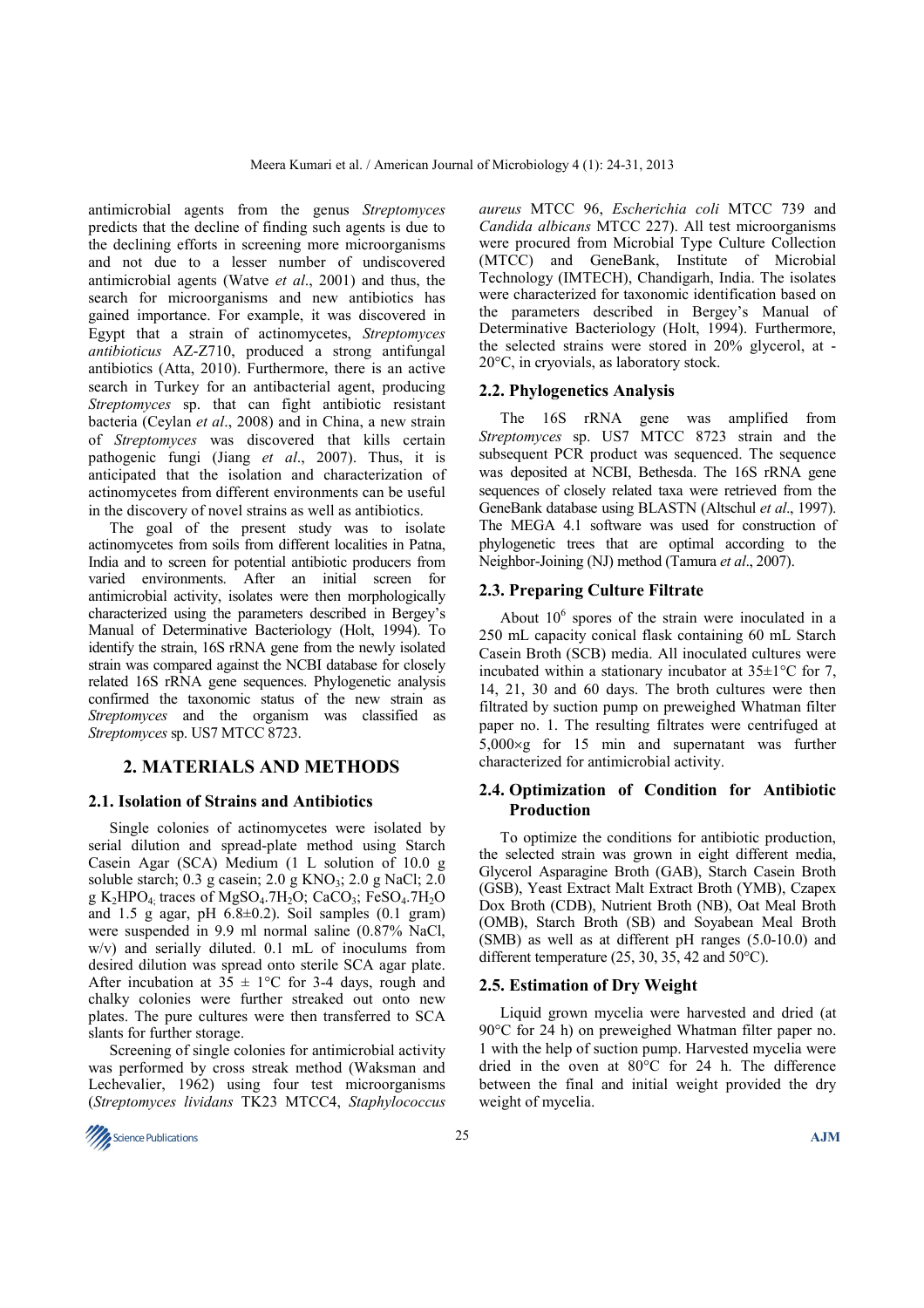antimicrobial agents from the genus *Streptomyces* predicts that the decline of finding such agents is due to the declining efforts in screening more microorganisms and not due to a lesser number of undiscovered antimicrobial agents (Watve *et al*., 2001) and thus, the search for microorganisms and new antibiotics has gained importance. For example, it was discovered in Egypt that a strain of actinomycetes, *Streptomyces antibioticus* AZ-Z710, produced a strong antifungal antibiotics (Atta, 2010). Furthermore, there is an active search in Turkey for an antibacterial agent, producing *Streptomyces* sp. that can fight antibiotic resistant bacteria (Ceylan *et al*., 2008) and in China, a new strain of *Streptomyces* was discovered that kills certain pathogenic fungi (Jiang *et al*., 2007). Thus, it is anticipated that the isolation and characterization of actinomycetes from different environments can be useful in the discovery of novel strains as well as antibiotics.

The goal of the present study was to isolate actinomycetes from soils from different localities in Patna, India and to screen for potential antibiotic producers from varied environments. After an initial screen for antimicrobial activity, isolates were then morphologically characterized using the parameters described in Bergey's Manual of Determinative Bacteriology (Holt, 1994). To identify the strain, 16S rRNA gene from the newly isolated strain was compared against the NCBI database for closely related 16S rRNA gene sequences. Phylogenetic analysis confirmed the taxonomic status of the new strain as *Streptomyces* and the organism was classified as *Streptomyces* sp. US7 MTCC 8723.

## **2. MATERIALS AND METHODS**

#### **2.1. Isolation of Strains and Antibiotics**

Single colonies of actinomycetes were isolated by serial dilution and spread-plate method using Starch Casein Agar (SCA) Medium (1 L solution of 10.0 g soluble starch;  $0.3$  g casein;  $2.0$  g KNO<sub>3</sub>;  $2.0$  g NaCl;  $2.0$ g K<sub>2</sub>HPO<sub>4</sub> traces of MgSO<sub>4</sub>.7H<sub>2</sub>O; CaCO<sub>3</sub>; FeSO<sub>4</sub>.7H<sub>2</sub>O and 1.5 g agar, pH  $6.8\pm0.2$ ). Soil samples  $(0.1 \text{ gram})$ were suspended in 9.9 ml normal saline (0.87% NaCl, w/v) and serially diluted. 0.1 mL of inoculums from desired dilution was spread onto sterile SCA agar plate. After incubation at  $35 \pm 1$ °C for 3-4 days, rough and chalky colonies were further streaked out onto new plates. The pure cultures were then transferred to SCA slants for further storage.

Screening of single colonies for antimicrobial activity was performed by cross streak method (Waksman and Lechevalier, 1962) using four test microorganisms (*Streptomyces lividans* TK23 MTCC4, *Staphylococcus* 



*aureus* MTCC 96, *Escherichia coli* MTCC 739 and *Candida albicans* MTCC 227). All test microorganisms were procured from Microbial Type Culture Collection (MTCC) and GeneBank, Institute of Microbial Technology (IMTECH), Chandigarh, India. The isolates were characterized for taxonomic identification based on the parameters described in Bergey's Manual of Determinative Bacteriology (Holt, 1994). Furthermore, the selected strains were stored in 20% glycerol, at - 20°C, in cryovials, as laboratory stock.

#### **2.2. Phylogenetics Analysis**

The 16S rRNA gene was amplified from *Streptomyces* sp. US7 MTCC 8723 strain and the subsequent PCR product was sequenced. The sequence was deposited at NCBI, Bethesda. The 16S rRNA gene sequences of closely related taxa were retrieved from the GeneBank database using BLASTN (Altschul *et al*., 1997). The MEGA 4.1 software was used for construction of phylogenetic trees that are optimal according to the Neighbor-Joining (NJ) method (Tamura *et al*., 2007).

## **2.3. Preparing Culture Filtrate**

About  $10^6$  spores of the strain were inoculated in a 250 mL capacity conical flask containing 60 mL Starch Casein Broth (SCB) media. All inoculated cultures were incubated within a stationary incubator at  $35\pm1^{\circ}$ C for 7, 14, 21, 30 and 60 days. The broth cultures were then filtrated by suction pump on preweighed Whatman filter paper no. 1. The resulting filtrates were centrifuged at 5,000×g for 15 min and supernatant was further characterized for antimicrobial activity.

## **2.4. Optimization of Condition for Antibiotic Production**

To optimize the conditions for antibiotic production, the selected strain was grown in eight different media, Glycerol Asparagine Broth (GAB), Starch Casein Broth (GSB), Yeast Extract Malt Extract Broth (YMB), Czapex Dox Broth (CDB), Nutrient Broth (NB), Oat Meal Broth (OMB), Starch Broth (SB) and Soyabean Meal Broth (SMB) as well as at different pH ranges (5.0-10.0) and different temperature (25, 30, 35, 42 and 50°C).

#### **2.5. Estimation of Dry Weight**

Liquid grown mycelia were harvested and dried (at 90°C for 24 h) on preweighed Whatman filter paper no. 1 with the help of suction pump. Harvested mycelia were dried in the oven at 80°C for 24 h. The difference between the final and initial weight provided the dry weight of mycelia.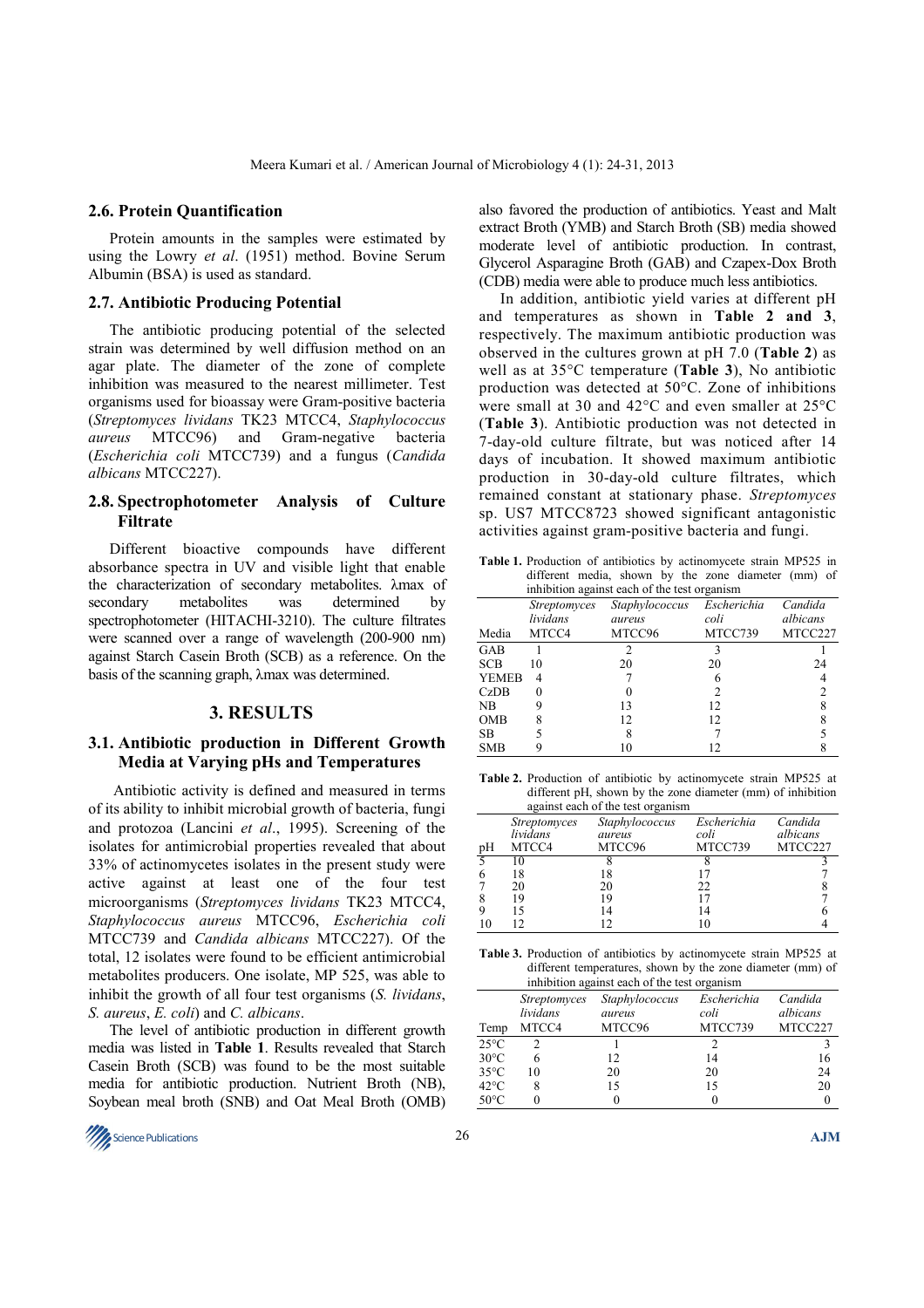#### **2.6. Protein Quantification**

Protein amounts in the samples were estimated by using the Lowry *et al*. (1951) method. Bovine Serum Albumin (BSA) is used as standard.

## **2.7. Antibiotic Producing Potential**

The antibiotic producing potential of the selected strain was determined by well diffusion method on an agar plate. The diameter of the zone of complete inhibition was measured to the nearest millimeter. Test organisms used for bioassay were Gram-positive bacteria (*Streptomyces lividans* TK23 MTCC4, *Staphylococcus aureus* MTCC96) and Gram-negative bacteria (*Escherichia coli* MTCC739) and a fungus (*Candida albicans* MTCC227).

## **2.8. Spectrophotometer Analysis of Culture Filtrate**

Different bioactive compounds have different absorbance spectra in UV and visible light that enable the characterization of secondary metabolites. λmax of secondary metabolites was determined by spectrophotometer (HITACHI-3210). The culture filtrates were scanned over a range of wavelength (200-900 nm) against Starch Casein Broth (SCB) as a reference. On the basis of the scanning graph, λmax was determined.

#### **3. RESULTS**

## **3.1. Antibiotic production in Different Growth Media at Varying pHs and Temperatures**

 Antibiotic activity is defined and measured in terms of its ability to inhibit microbial growth of bacteria, fungi and protozoa (Lancini *et al*., 1995). Screening of the isolates for antimicrobial properties revealed that about 33% of actinomycetes isolates in the present study were active against at least one of the four test microorganisms (*Streptomyces lividans* TK23 MTCC4, *Staphylococcus aureus* MTCC96, *Escherichia coli* MTCC739 and *Candida albicans* MTCC227). Of the total, 12 isolates were found to be efficient antimicrobial metabolites producers. One isolate, MP 525, was able to inhibit the growth of all four test organisms (*S. lividans*, *S. aureus*, *E. coli*) and *C. albicans*.

The level of antibiotic production in different growth media was listed in **Table 1**. Results revealed that Starch Casein Broth (SCB) was found to be the most suitable media for antibiotic production. Nutrient Broth (NB), Soybean meal broth (SNB) and Oat Meal Broth (OMB)



also favored the production of antibiotics. Yeast and Malt extract Broth (YMB) and Starch Broth (SB) media showed moderate level of antibiotic production. In contrast, Glycerol Asparagine Broth (GAB) and Czapex-Dox Broth (CDB) media were able to produce much less antibiotics.

In addition, antibiotic yield varies at different pH and temperatures as shown in **Table 2 and 3**, respectively. The maximum antibiotic production was observed in the cultures grown at pH 7.0 (**Table 2**) as well as at 35°C temperature (**Table 3**), No antibiotic production was detected at 50°C. Zone of inhibitions were small at 30 and 42°C and even smaller at 25°C (**Table 3**). Antibiotic production was not detected in 7-day-old culture filtrate, but was noticed after 14 days of incubation. It showed maximum antibiotic production in 30-day-old culture filtrates, which remained constant at stationary phase. *Streptomyces*  sp. US7 MTCC8723 showed significant antagonistic activities against gram-positive bacteria and fungi.

**Table 1.** Production of antibiotics by actinomycete strain MP525 in different media, shown by the zone diameter (mm) of

| inhibition against each of the test organism |                     |                |             |          |  |  |  |
|----------------------------------------------|---------------------|----------------|-------------|----------|--|--|--|
|                                              | <i>Streptomyces</i> | Staphylococcus | Escherichia | Candida  |  |  |  |
|                                              | lividans            | aureus         | coli        | albicans |  |  |  |
| Media                                        | MTCC4               | MTCC96         | MTCC739     | MTCC227  |  |  |  |
| GAB                                          |                     |                |             |          |  |  |  |
| <b>SCB</b>                                   | 10                  | 20             | 20          | 24       |  |  |  |
| <b>YEMEB</b>                                 | 4                   |                |             |          |  |  |  |
| CzDB                                         |                     |                |             |          |  |  |  |
| N <sub>B</sub>                               |                     | 13             | 12          |          |  |  |  |
| <b>OMB</b>                                   |                     | 12             | 12          |          |  |  |  |
| SB.                                          |                     | 8              |             |          |  |  |  |
| <b>SMB</b>                                   |                     |                |             |          |  |  |  |

**Table 2.** Production of antibiotic by actinomycete strain MP525 at different pH, shown by the zone diameter (mm) of inhibition against each of the test organism

| $a_{\rm{S}}$ and $a_{\rm{S}}$ and $a_{\rm{S}}$ and $a_{\rm{S}}$ and $a_{\rm{S}}$ and $a_{\rm{S}}$ |                                          |                                    |                                |                                |  |  |  |
|---------------------------------------------------------------------------------------------------|------------------------------------------|------------------------------------|--------------------------------|--------------------------------|--|--|--|
| pΗ                                                                                                | <b>Streptomyces</b><br>lividans<br>MTCC4 | Staphylococcus<br>aureus<br>MTCC96 | Escherichia<br>coli<br>MTCC739 | Candida<br>albicans<br>MTCC227 |  |  |  |
|                                                                                                   |                                          |                                    |                                |                                |  |  |  |
|                                                                                                   | 18                                       | 18                                 |                                |                                |  |  |  |
|                                                                                                   | 20                                       | 20                                 | 22                             |                                |  |  |  |
|                                                                                                   | 19                                       | 19                                 |                                |                                |  |  |  |
|                                                                                                   |                                          | 14                                 | 14                             |                                |  |  |  |
|                                                                                                   |                                          |                                    |                                |                                |  |  |  |

**Table 3.** Production of antibiotics by actinomycete strain MP525 at different temperatures, shown by the zone diameter (mm) of inhibition against each of the test organism

| minortron against caen of the test organism |                                 |                          |                     |                     |  |  |  |
|---------------------------------------------|---------------------------------|--------------------------|---------------------|---------------------|--|--|--|
|                                             | <i>Streptomyces</i><br>lividans | Staphylococcus<br>aureus | Escherichia<br>coli | Candida<br>albicans |  |  |  |
| Temp                                        | MTCC4                           | MTCC96                   | MTCC739             | MTCC227             |  |  |  |
| $25^{\circ}$ C                              |                                 |                          |                     |                     |  |  |  |
| $30^{\circ}$ C                              | 6                               | 12                       | 14                  | 16                  |  |  |  |
| $35^{\circ}$ C                              | 10                              | 20                       | 20                  | 24                  |  |  |  |
| $42^{\circ}$ C                              | 8                               | 15                       | 15                  | 20                  |  |  |  |
| $50^{\circ}$ C                              |                                 |                          |                     |                     |  |  |  |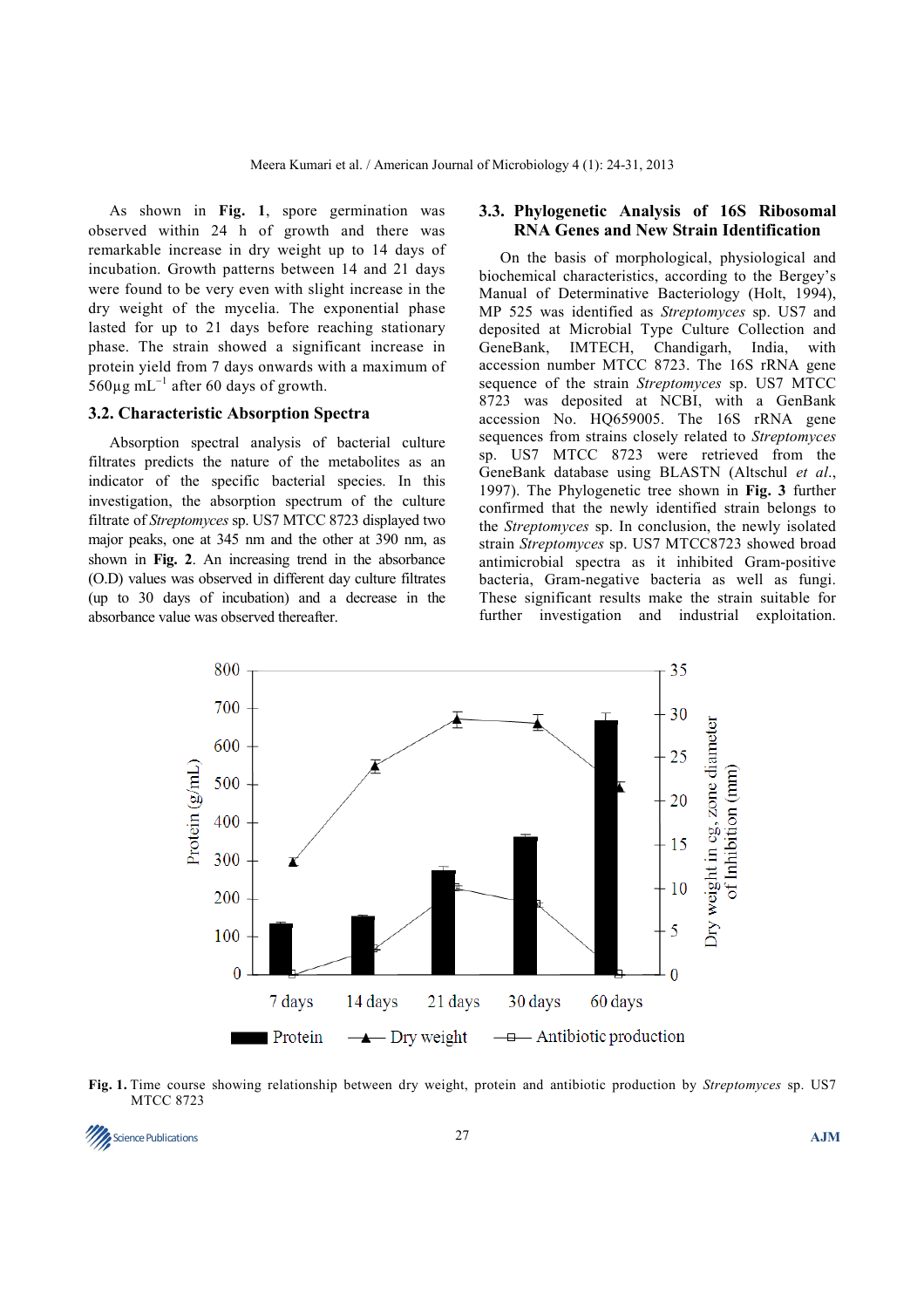As shown in **Fig. 1**, spore germination was observed within 24 h of growth and there was remarkable increase in dry weight up to 14 days of incubation. Growth patterns between 14 and 21 days were found to be very even with slight increase in the dry weight of the mycelia. The exponential phase lasted for up to 21 days before reaching stationary phase. The strain showed a significant increase in protein yield from 7 days onwards with a maximum of  $560\mu$ g mL<sup>-1</sup> after 60 days of growth.

## **3.2. Characteristic Absorption Spectra**

Absorption spectral analysis of bacterial culture filtrates predicts the nature of the metabolites as an indicator of the specific bacterial species. In this investigation, the absorption spectrum of the culture filtrate of *Streptomyces* sp. US7 MTCC 8723 displayed two major peaks, one at 345 nm and the other at 390 nm, as shown in **Fig. 2**. An increasing trend in the absorbance (O.D) values was observed in different day culture filtrates (up to 30 days of incubation) and a decrease in the absorbance value was observed thereafter.

## **3.3. Phylogenetic Analysis of 16S Ribosomal RNA Genes and New Strain Identification**

On the basis of morphological, physiological and biochemical characteristics, according to the Bergey's Manual of Determinative Bacteriology (Holt, 1994), MP 525 was identified as *Streptomyces* sp. US7 and deposited at Microbial Type Culture Collection and GeneBank, IMTECH, Chandigarh, India, with accession number MTCC 8723. The 16S rRNA gene sequence of the strain *Streptomyces* sp. US7 MTCC 8723 was deposited at NCBI, with a GenBank accession No. HQ659005. The 16S rRNA gene sequences from strains closely related to *Streptomyces* sp. US7 MTCC 8723 were retrieved from the GeneBank database using BLASTN (Altschul *et al*., 1997). The Phylogenetic tree shown in **Fig. 3** further confirmed that the newly identified strain belongs to the *Streptomyces* sp. In conclusion, the newly isolated strain *Streptomyces* sp. US7 MTCC8723 showed broad antimicrobial spectra as it inhibited Gram-positive bacteria, Gram-negative bacteria as well as fungi. These significant results make the strain suitable for further investigation and industrial exploitation.



**Fig. 1.** Time course showing relationship between dry weight, protein and antibiotic production by *Streptomyces* sp. US7 MTCC 8723

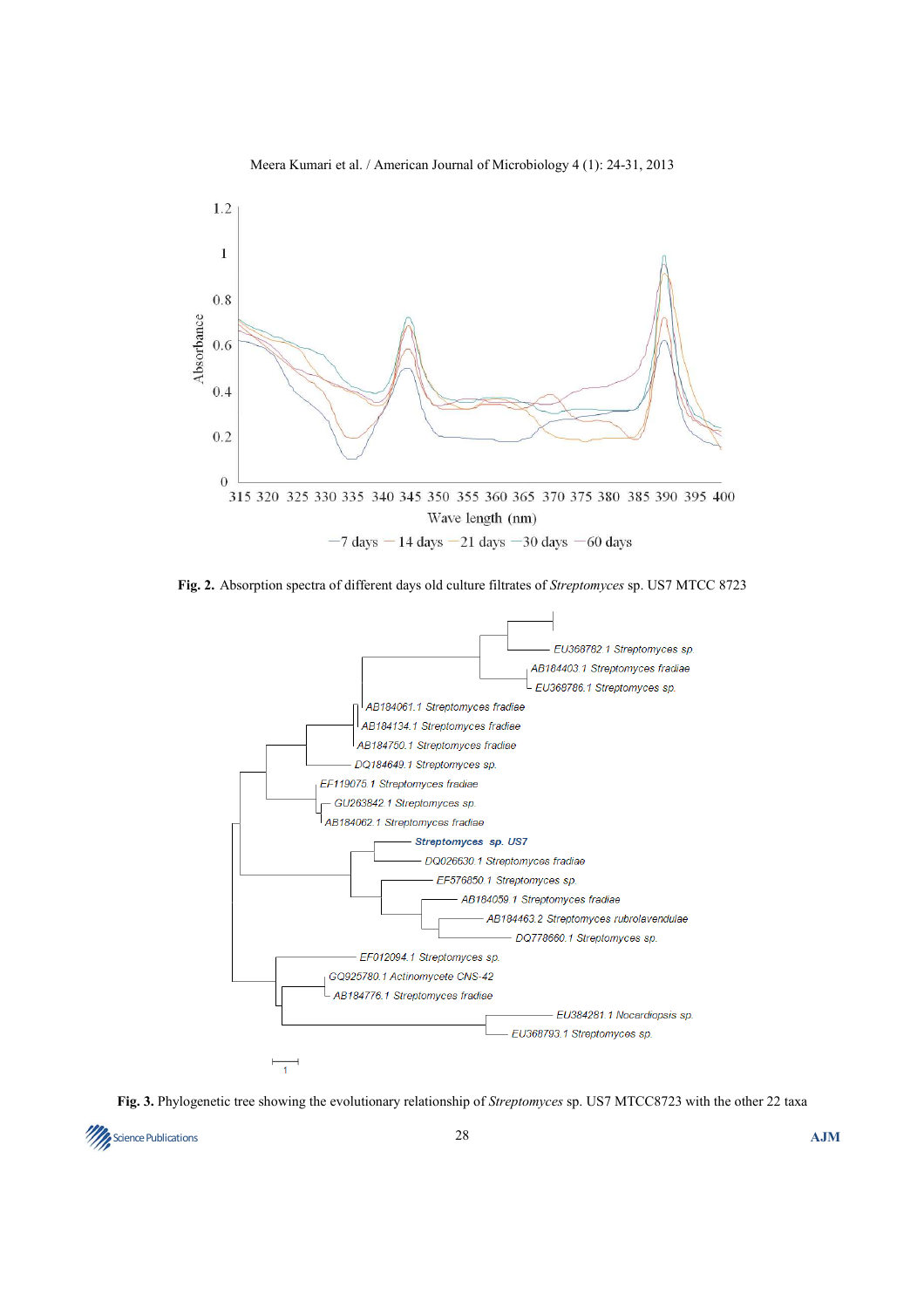

Meera Kumari et al. / American Journal of Microbiology 4 (1): 24-31, 2013

**Fig. 2.** Absorption spectra of different days old culture filtrates of *Streptomyces* sp. US7 MTCC 8723



**Fig. 3.** Phylogenetic tree showing the evolutionary relationship of *Streptomyces* sp. US7 MTCC8723 with the other 22 taxa

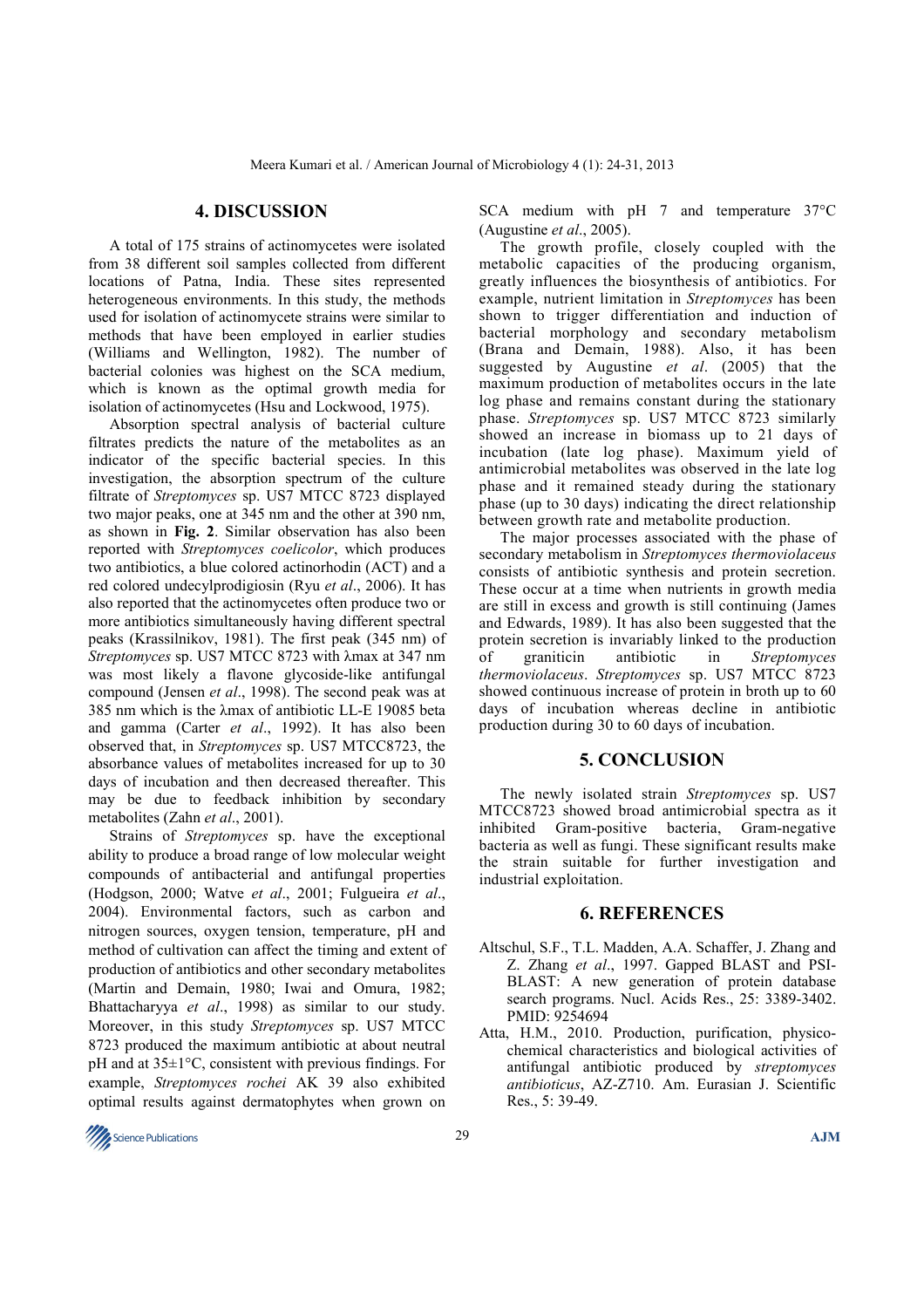## **4. DISCUSSION**

A total of 175 strains of actinomycetes were isolated from 38 different soil samples collected from different locations of Patna, India. These sites represented heterogeneous environments. In this study, the methods used for isolation of actinomycete strains were similar to methods that have been employed in earlier studies (Williams and Wellington, 1982). The number of bacterial colonies was highest on the SCA medium, which is known as the optimal growth media for isolation of actinomycetes (Hsu and Lockwood, 1975).

Absorption spectral analysis of bacterial culture filtrates predicts the nature of the metabolites as an indicator of the specific bacterial species. In this investigation, the absorption spectrum of the culture filtrate of *Streptomyces* sp. US7 MTCC 8723 displayed two major peaks, one at 345 nm and the other at 390 nm, as shown in **Fig. 2**. Similar observation has also been reported with *Streptomyces coelicolor*, which produces two antibiotics, a blue colored actinorhodin (ACT) and a red colored undecylprodigiosin (Ryu *et al*., 2006). It has also reported that the actinomycetes often produce two or more antibiotics simultaneously having different spectral peaks (Krassilnikov, 1981). The first peak (345 nm) of *Streptomyces* sp. US7 MTCC 8723 with λmax at 347 nm was most likely a flavone glycoside-like antifungal compound (Jensen *et al*., 1998). The second peak was at 385 nm which is the λmax of antibiotic LL-E 19085 beta and gamma (Carter *et al*., 1992). It has also been observed that, in *Streptomyces* sp. US7 MTCC8723, the absorbance values of metabolites increased for up to 30 days of incubation and then decreased thereafter. This may be due to feedback inhibition by secondary metabolites (Zahn *et al*., 2001).

Strains of *Streptomyces* sp. have the exceptional ability to produce a broad range of low molecular weight compounds of antibacterial and antifungal properties (Hodgson, 2000; Watve *et al*., 2001; Fulgueira *et al*., 2004). Environmental factors, such as carbon and nitrogen sources, oxygen tension, temperature, pH and method of cultivation can affect the timing and extent of production of antibiotics and other secondary metabolites (Martin and Demain, 1980; Iwai and Omura, 1982; Bhattacharyya *et al*., 1998) as similar to our study. Moreover, in this study *Streptomyces* sp. US7 MTCC 8723 produced the maximum antibiotic at about neutral pH and at 35±1°C, consistent with previous findings. For example, *Streptomyces rochei* AK 39 also exhibited optimal results against dermatophytes when grown on

SCA medium with pH 7 and temperature 37°C (Augustine *et al*., 2005).

The growth profile, closely coupled with the metabolic capacities of the producing organism, greatly influences the biosynthesis of antibiotics. For example, nutrient limitation in *Streptomyces* has been shown to trigger differentiation and induction of bacterial morphology and secondary metabolism (Brana and Demain, 1988). Also, it has been suggested by Augustine *et al*. (2005) that the maximum production of metabolites occurs in the late log phase and remains constant during the stationary phase. *Streptomyces* sp. US7 MTCC 8723 similarly showed an increase in biomass up to 21 days of incubation (late log phase). Maximum yield of antimicrobial metabolites was observed in the late log phase and it remained steady during the stationary phase (up to 30 days) indicating the direct relationship between growth rate and metabolite production.

The major processes associated with the phase of secondary metabolism in *Streptomyces thermoviolaceus* consists of antibiotic synthesis and protein secretion. These occur at a time when nutrients in growth media are still in excess and growth is still continuing (James and Edwards, 1989). It has also been suggested that the protein secretion is invariably linked to the production of graniticin antibiotic in *Streptomyces thermoviolaceus*. *Streptomyces* sp. US7 MTCC 8723 showed continuous increase of protein in broth up to 60 days of incubation whereas decline in antibiotic production during 30 to 60 days of incubation.

## **5. CONCLUSION**

The newly isolated strain *Streptomyces* sp. US7 MTCC8723 showed broad antimicrobial spectra as it inhibited Gram-positive bacteria, Gram-negative bacteria as well as fungi. These significant results make the strain suitable for further investigation and industrial exploitation.

## **6. REFERENCES**

- Altschul, S.F., T.L. Madden, A.A. Schaffer, J. Zhang and Z. Zhang *et al*., 1997. Gapped BLAST and PSI-BLAST: A new generation of protein database search programs. Nucl. Acids Res., 25: 3389-3402. PMID: 9254694
- Atta, H.M., 2010. Production, purification, physicochemical characteristics and biological activities of antifungal antibiotic produced by *streptomyces antibioticus*, AZ-Z710. Am. Eurasian J. Scientific Res., 5: 39-49.

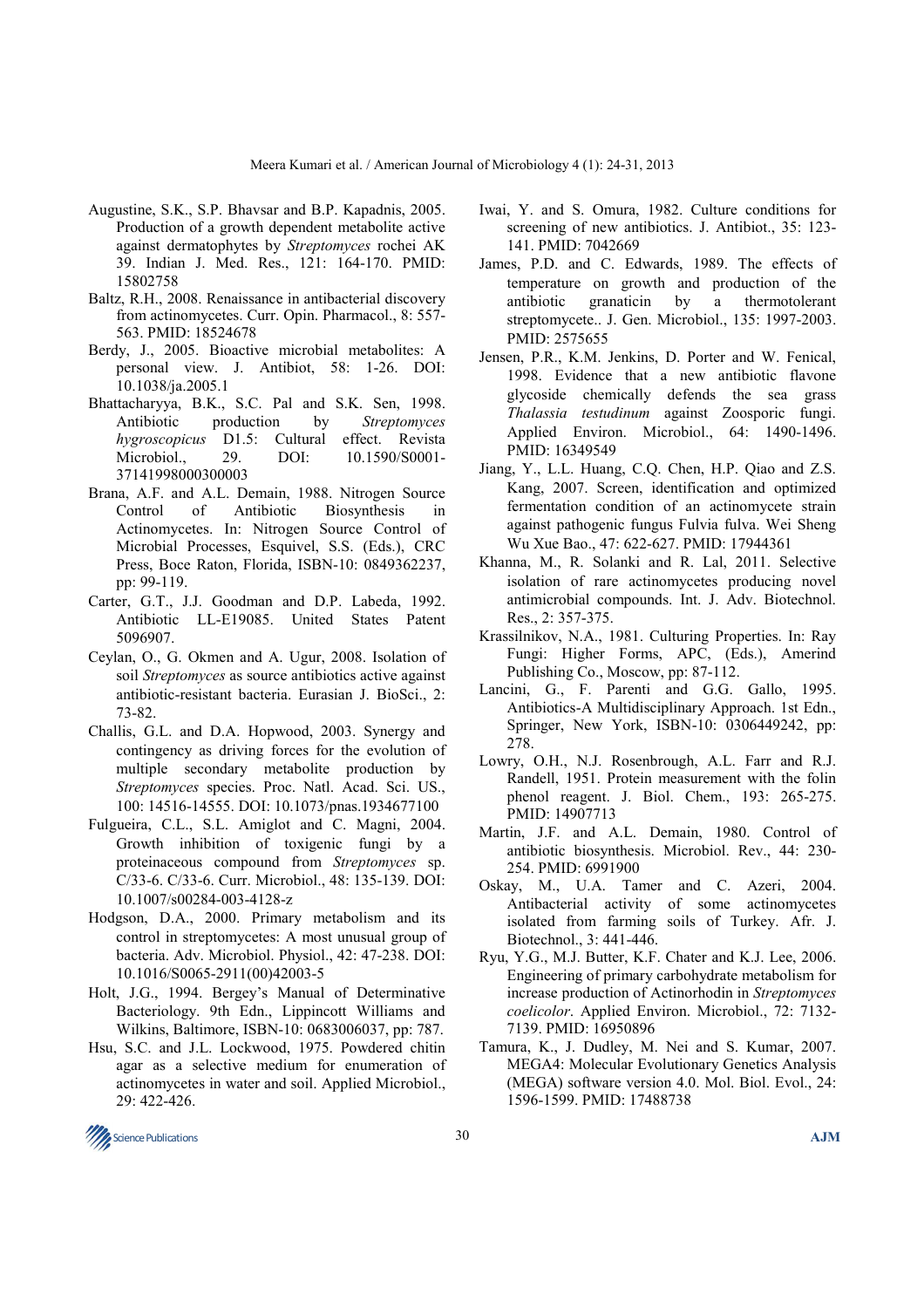- Augustine, S.K., S.P. Bhavsar and B.P. Kapadnis, 2005. Production of a growth dependent metabolite active against dermatophytes by *Streptomyces* rochei AK 39. Indian J. Med. Res., 121: 164-170. PMID: 15802758
- Baltz, R.H., 2008. Renaissance in antibacterial discovery from actinomycetes. Curr. Opin. Pharmacol., 8: 557- 563. PMID: 18524678
- Berdy, J., 2005. Bioactive microbial metabolites: A personal view. J. Antibiot, 58: 1-26. DOI: 10.1038/ja.2005.1
- Bhattacharyya, B.K., S.C. Pal and S.K. Sen, 1998. Antibiotic production by *Streptomyces hygroscopicus* D1.5: Cultural effect. Revista Microbiol., 29. DOI: 10.1590/S0001- 37141998000300003
- Brana, A.F. and A.L. Demain, 1988. Nitrogen Source Control of Antibiotic Biosynthesis in Actinomycetes. In: Nitrogen Source Control of Microbial Processes, Esquivel, S.S. (Eds.), CRC Press, Boce Raton, Florida, ISBN-10: 0849362237, pp: 99-119.
- Carter, G.T., J.J. Goodman and D.P. Labeda, 1992. Antibiotic LL-E19085. United States Patent 5096907.
- Ceylan, O., G. Okmen and A. Ugur, 2008. Isolation of soil *Streptomyces* as source antibiotics active against antibiotic-resistant bacteria. Eurasian J. BioSci., 2: 73-82.
- Challis, G.L. and D.A. Hopwood, 2003. Synergy and contingency as driving forces for the evolution of multiple secondary metabolite production by *Streptomyces* species. Proc. Natl. Acad. Sci. US., 100: 14516-14555. DOI: 10.1073/pnas.1934677100
- Fulgueira, C.L., S.L. Amiglot and C. Magni, 2004. Growth inhibition of toxigenic fungi by a proteinaceous compound from *Streptomyces* sp. C/33-6. C/33-6. Curr. Microbiol., 48: 135-139. DOI: 10.1007/s00284-003-4128-z
- Hodgson, D.A., 2000. Primary metabolism and its control in streptomycetes: A most unusual group of bacteria. Adv. Microbiol. Physiol., 42: 47-238. DOI: 10.1016/S0065-2911(00)42003-5
- Holt, J.G., 1994. Bergey's Manual of Determinative Bacteriology. 9th Edn., Lippincott Williams and Wilkins, Baltimore, ISBN-10: 0683006037, pp: 787.
- Hsu, S.C. and J.L. Lockwood, 1975. Powdered chitin agar as a selective medium for enumeration of actinomycetes in water and soil. Applied Microbiol., 29: 422-426.
- Iwai, Y. and S. Omura, 1982. Culture conditions for screening of new antibiotics. J. Antibiot., 35: 123- 141. PMID: 7042669
- James, P.D. and C. Edwards, 1989. The effects of temperature on growth and production of the antibiotic granaticin by a thermotolerant streptomycete.. J. Gen. Microbiol., 135: 1997-2003. PMID: 2575655
- Jensen, P.R., K.M. Jenkins, D. Porter and W. Fenical, 1998. Evidence that a new antibiotic flavone glycoside chemically defends the sea grass *Thalassia testudinum* against Zoosporic fungi. Applied Environ. Microbiol., 64: 1490-1496. PMID: 16349549
- Jiang, Y., L.L. Huang, C.Q. Chen, H.P. Qiao and Z.S. Kang, 2007. Screen, identification and optimized fermentation condition of an actinomycete strain against pathogenic fungus Fulvia fulva. Wei Sheng Wu Xue Bao., 47: 622-627. PMID: 17944361
- Khanna, M., R. Solanki and R. Lal, 2011. Selective isolation of rare actinomycetes producing novel antimicrobial compounds. Int. J. Adv. Biotechnol. Res., 2: 357-375.
- Krassilnikov, N.A., 1981. Culturing Properties. In: Ray Fungi: Higher Forms, APC, (Eds.), Amerind Publishing Co., Moscow, pp: 87-112.
- Lancini, G., F. Parenti and G.G. Gallo, 1995. Antibiotics-A Multidisciplinary Approach. 1st Edn., Springer, New York, ISBN-10: 0306449242, pp: 278.
- Lowry, O.H., N.J. Rosenbrough, A.L. Farr and R.J. Randell, 1951. Protein measurement with the folin phenol reagent. J. Biol. Chem., 193: 265-275. PMID: 14907713
- Martin, J.F. and A.L. Demain, 1980. Control of antibiotic biosynthesis. Microbiol. Rev., 44: 230- 254. PMID: 6991900
- Oskay, M., U.A. Tamer and C. Azeri, 2004. Antibacterial activity of some actinomycetes isolated from farming soils of Turkey. Afr. J. Biotechnol., 3: 441-446.
- Ryu, Y.G., M.J. Butter, K.F. Chater and K.J. Lee, 2006. Engineering of primary carbohydrate metabolism for increase production of Actinorhodin in *Streptomyces coelicolor*. Applied Environ. Microbiol., 72: 7132- 7139. PMID: 16950896
- Tamura, K., J. Dudley, M. Nei and S. Kumar, 2007. MEGA4: Molecular Evolutionary Genetics Analysis (MEGA) software version 4.0. Mol. Biol. Evol., 24: 1596-1599. PMID: 17488738